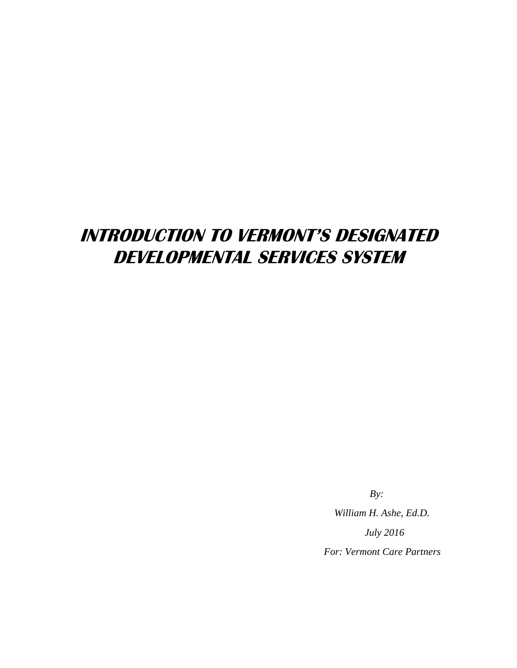# **INTRODUCTION TO VERMONT'S DESIGNATED DEVELOPMENTAL SERVICES SYSTEM**

 *By:* 

*William H. Ashe, Ed.D. July 2016 For: Vermont Care Partners*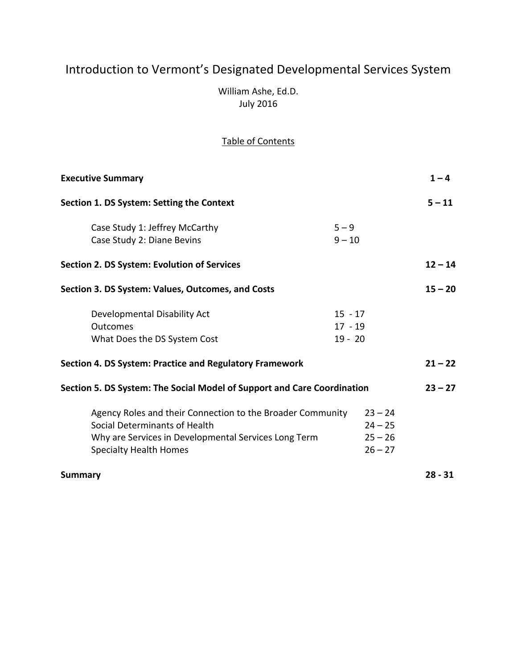# Introduction to Vermont's Designated Developmental Services System

William Ashe, Ed.D. July 2016

# Table of Contents

| <b>Executive Summary</b>                                                                                                                                                             |                                     |                                                  | $1 - 4$   |
|--------------------------------------------------------------------------------------------------------------------------------------------------------------------------------------|-------------------------------------|--------------------------------------------------|-----------|
| Section 1. DS System: Setting the Context                                                                                                                                            |                                     |                                                  | $5 - 11$  |
| Case Study 1: Jeffrey McCarthy<br>Case Study 2: Diane Bevins                                                                                                                         | $5 - 9$<br>$9 - 10$                 |                                                  |           |
| <b>Section 2. DS System: Evolution of Services</b>                                                                                                                                   |                                     |                                                  | $12 - 14$ |
| Section 3. DS System: Values, Outcomes, and Costs                                                                                                                                    |                                     |                                                  | $15 - 20$ |
| Developmental Disability Act<br><b>Outcomes</b><br>What Does the DS System Cost                                                                                                      | $15 - 17$<br>$17 - 19$<br>$19 - 20$ |                                                  |           |
| Section 4. DS System: Practice and Regulatory Framework                                                                                                                              |                                     |                                                  | $21 - 22$ |
| Section 5. DS System: The Social Model of Support and Care Coordination                                                                                                              |                                     |                                                  | $23 - 27$ |
| Agency Roles and their Connection to the Broader Community<br>Social Determinants of Health<br>Why are Services in Developmental Services Long Term<br><b>Specialty Health Homes</b> |                                     | $23 - 24$<br>$24 - 25$<br>$25 - 26$<br>$26 - 27$ |           |
| <b>Summary</b>                                                                                                                                                                       |                                     |                                                  | $28 - 31$ |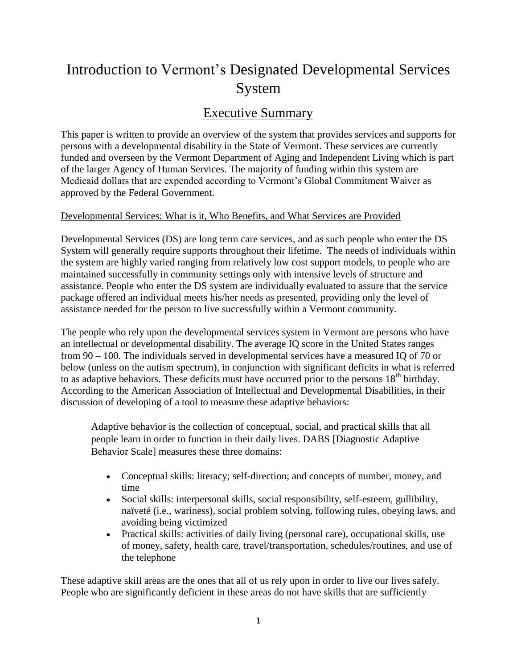# Introduction to Vermont's Designated Developmental Services System

# Executive Summary

This paper is written to provide an overview of the system that provides services and supports for persons with a developmental disability in the State of Vermont. These services are currently funded and overseen by the Vermont Department of Aging and Independent Living which is part of the larger Agency of Human Services. The majority of funding within this system are Medicaid dollars that are expended according to Vermont's Global Commitment Waiver as approved by the Federal Government.

## Developmental Services: What is it, Who Benefits, and What Services are Provided

Developmental Services (DS) are long term care services, and as such people who enter the DS System will generally require supports throughout their lifetime. The needs of individuals within the system are highly varied ranging from relatively low cost support models, to people who are maintained successfully in community settings only with intensive levels of structure and assistance. People who enter the DS system are individually evaluated to assure that the service package offered an individual meets his/her needs as presented, providing only the level of assistance needed for the person to live successfully within a Vermont community.

The people who rely upon the developmental services system in Vermont are persons who have an intellectual or developmental disability. The average IQ score in the United States ranges from 90 – 100. The individuals served in developmental services have a measured IQ of 70 or below (unless on the autism spectrum), in conjunction with significant deficits in what is referred to as adaptive behaviors. These deficits must have occurred prior to the persons  $18<sup>th</sup>$  birthday. According to the American Association of Intellectual and Developmental Disabilities, in their discussion of developing of a tool to measure these adaptive behaviors:

Adaptive behavior is the collection of conceptual, social, and practical skills that all people learn in order to function in their daily lives. DABS [Diagnostic Adaptive Behavior Scale] measures these three domains:

- Conceptual skills: literacy; self-direction; and concepts of number, money, and time
- Social skills: interpersonal skills, social responsibility, self-esteem, gullibility, naïveté (i.e., wariness), social problem solving, following rules, obeying laws, and avoiding being victimized
- Practical skills: activities of daily living (personal care), occupational skills, use of money, safety, health care, travel/transportation, schedules/routines, and use of the telephone

These adaptive skill areas are the ones that all of us rely upon in order to live our lives safely. People who are significantly deficient in these areas do not have skills that are sufficiently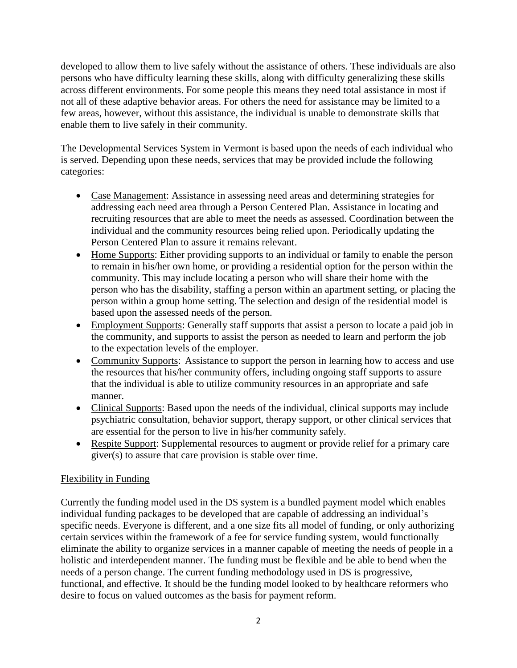developed to allow them to live safely without the assistance of others. These individuals are also persons who have difficulty learning these skills, along with difficulty generalizing these skills across different environments. For some people this means they need total assistance in most if not all of these adaptive behavior areas. For others the need for assistance may be limited to a few areas, however, without this assistance, the individual is unable to demonstrate skills that enable them to live safely in their community.

The Developmental Services System in Vermont is based upon the needs of each individual who is served. Depending upon these needs, services that may be provided include the following categories:

- Case Management: Assistance in assessing need areas and determining strategies for addressing each need area through a Person Centered Plan. Assistance in locating and recruiting resources that are able to meet the needs as assessed. Coordination between the individual and the community resources being relied upon. Periodically updating the Person Centered Plan to assure it remains relevant.
- Home Supports: Either providing supports to an individual or family to enable the person to remain in his/her own home, or providing a residential option for the person within the community. This may include locating a person who will share their home with the person who has the disability, staffing a person within an apartment setting, or placing the person within a group home setting. The selection and design of the residential model is based upon the assessed needs of the person.
- Employment Supports: Generally staff supports that assist a person to locate a paid job in the community, and supports to assist the person as needed to learn and perform the job to the expectation levels of the employer.
- Community Supports: Assistance to support the person in learning how to access and use the resources that his/her community offers, including ongoing staff supports to assure that the individual is able to utilize community resources in an appropriate and safe manner.
- Clinical Supports: Based upon the needs of the individual, clinical supports may include psychiatric consultation, behavior support, therapy support, or other clinical services that are essential for the person to live in his/her community safely.
- Respite Support: Supplemental resources to augment or provide relief for a primary care giver(s) to assure that care provision is stable over time.

## Flexibility in Funding

Currently the funding model used in the DS system is a bundled payment model which enables individual funding packages to be developed that are capable of addressing an individual's specific needs. Everyone is different, and a one size fits all model of funding, or only authorizing certain services within the framework of a fee for service funding system, would functionally eliminate the ability to organize services in a manner capable of meeting the needs of people in a holistic and interdependent manner. The funding must be flexible and be able to bend when the needs of a person change. The current funding methodology used in DS is progressive, functional, and effective. It should be the funding model looked to by healthcare reformers who desire to focus on valued outcomes as the basis for payment reform.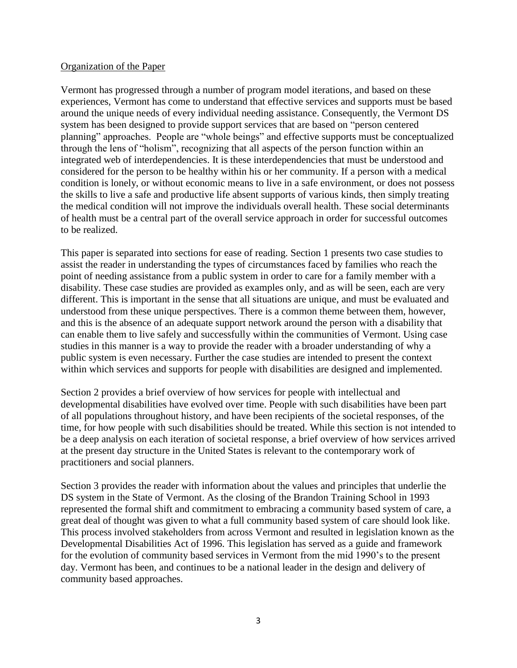#### Organization of the Paper

Vermont has progressed through a number of program model iterations, and based on these experiences, Vermont has come to understand that effective services and supports must be based around the unique needs of every individual needing assistance. Consequently, the Vermont DS system has been designed to provide support services that are based on "person centered planning" approaches. People are "whole beings" and effective supports must be conceptualized through the lens of "holism", recognizing that all aspects of the person function within an integrated web of interdependencies. It is these interdependencies that must be understood and considered for the person to be healthy within his or her community. If a person with a medical condition is lonely, or without economic means to live in a safe environment, or does not possess the skills to live a safe and productive life absent supports of various kinds, then simply treating the medical condition will not improve the individuals overall health. These social determinants of health must be a central part of the overall service approach in order for successful outcomes to be realized.

This paper is separated into sections for ease of reading. Section 1 presents two case studies to assist the reader in understanding the types of circumstances faced by families who reach the point of needing assistance from a public system in order to care for a family member with a disability. These case studies are provided as examples only, and as will be seen, each are very different. This is important in the sense that all situations are unique, and must be evaluated and understood from these unique perspectives. There is a common theme between them, however, and this is the absence of an adequate support network around the person with a disability that can enable them to live safely and successfully within the communities of Vermont. Using case studies in this manner is a way to provide the reader with a broader understanding of why a public system is even necessary. Further the case studies are intended to present the context within which services and supports for people with disabilities are designed and implemented.

Section 2 provides a brief overview of how services for people with intellectual and developmental disabilities have evolved over time. People with such disabilities have been part of all populations throughout history, and have been recipients of the societal responses, of the time, for how people with such disabilities should be treated. While this section is not intended to be a deep analysis on each iteration of societal response, a brief overview of how services arrived at the present day structure in the United States is relevant to the contemporary work of practitioners and social planners.

Section 3 provides the reader with information about the values and principles that underlie the DS system in the State of Vermont. As the closing of the Brandon Training School in 1993 represented the formal shift and commitment to embracing a community based system of care, a great deal of thought was given to what a full community based system of care should look like. This process involved stakeholders from across Vermont and resulted in legislation known as the Developmental Disabilities Act of 1996. This legislation has served as a guide and framework for the evolution of community based services in Vermont from the mid 1990's to the present day. Vermont has been, and continues to be a national leader in the design and delivery of community based approaches.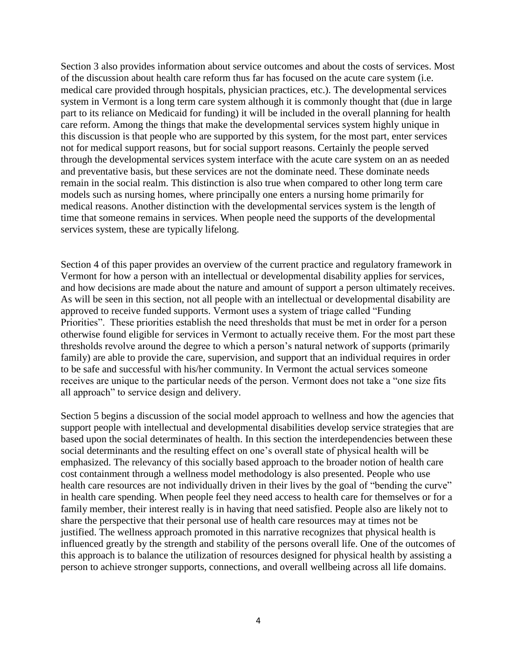Section 3 also provides information about service outcomes and about the costs of services. Most of the discussion about health care reform thus far has focused on the acute care system (i.e. medical care provided through hospitals, physician practices, etc.). The developmental services system in Vermont is a long term care system although it is commonly thought that (due in large part to its reliance on Medicaid for funding) it will be included in the overall planning for health care reform. Among the things that make the developmental services system highly unique in this discussion is that people who are supported by this system, for the most part, enter services not for medical support reasons, but for social support reasons. Certainly the people served through the developmental services system interface with the acute care system on an as needed and preventative basis, but these services are not the dominate need. These dominate needs remain in the social realm. This distinction is also true when compared to other long term care models such as nursing homes, where principally one enters a nursing home primarily for medical reasons. Another distinction with the developmental services system is the length of time that someone remains in services. When people need the supports of the developmental services system, these are typically lifelong.

Section 4 of this paper provides an overview of the current practice and regulatory framework in Vermont for how a person with an intellectual or developmental disability applies for services, and how decisions are made about the nature and amount of support a person ultimately receives. As will be seen in this section, not all people with an intellectual or developmental disability are approved to receive funded supports. Vermont uses a system of triage called "Funding Priorities". These priorities establish the need thresholds that must be met in order for a person otherwise found eligible for services in Vermont to actually receive them. For the most part these thresholds revolve around the degree to which a person's natural network of supports (primarily family) are able to provide the care, supervision, and support that an individual requires in order to be safe and successful with his/her community. In Vermont the actual services someone receives are unique to the particular needs of the person. Vermont does not take a "one size fits all approach" to service design and delivery.

Section 5 begins a discussion of the social model approach to wellness and how the agencies that support people with intellectual and developmental disabilities develop service strategies that are based upon the social determinates of health. In this section the interdependencies between these social determinants and the resulting effect on one's overall state of physical health will be emphasized. The relevancy of this socially based approach to the broader notion of health care cost containment through a wellness model methodology is also presented. People who use health care resources are not individually driven in their lives by the goal of "bending the curve" in health care spending. When people feel they need access to health care for themselves or for a family member, their interest really is in having that need satisfied. People also are likely not to share the perspective that their personal use of health care resources may at times not be justified. The wellness approach promoted in this narrative recognizes that physical health is influenced greatly by the strength and stability of the persons overall life. One of the outcomes of this approach is to balance the utilization of resources designed for physical health by assisting a person to achieve stronger supports, connections, and overall wellbeing across all life domains.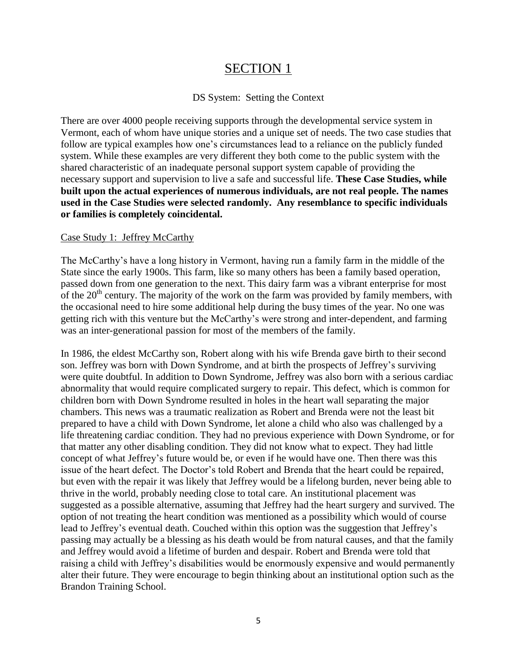# SECTION 1

#### DS System: Setting the Context

There are over 4000 people receiving supports through the developmental service system in Vermont, each of whom have unique stories and a unique set of needs. The two case studies that follow are typical examples how one's circumstances lead to a reliance on the publicly funded system. While these examples are very different they both come to the public system with the shared characteristic of an inadequate personal support system capable of providing the necessary support and supervision to live a safe and successful life. **These Case Studies, while built upon the actual experiences of numerous individuals, are not real people. The names used in the Case Studies were selected randomly. Any resemblance to specific individuals or families is completely coincidental.**

#### Case Study 1: Jeffrey McCarthy

The McCarthy's have a long history in Vermont, having run a family farm in the middle of the State since the early 1900s. This farm, like so many others has been a family based operation, passed down from one generation to the next. This dairy farm was a vibrant enterprise for most of the  $20<sup>th</sup>$  century. The majority of the work on the farm was provided by family members, with the occasional need to hire some additional help during the busy times of the year. No one was getting rich with this venture but the McCarthy's were strong and inter-dependent, and farming was an inter-generational passion for most of the members of the family.

In 1986, the eldest McCarthy son, Robert along with his wife Brenda gave birth to their second son. Jeffrey was born with Down Syndrome, and at birth the prospects of Jeffrey's surviving were quite doubtful. In addition to Down Syndrome, Jeffrey was also born with a serious cardiac abnormality that would require complicated surgery to repair. This defect, which is common for children born with Down Syndrome resulted in holes in the heart wall separating the major chambers. This news was a traumatic realization as Robert and Brenda were not the least bit prepared to have a child with Down Syndrome, let alone a child who also was challenged by a life threatening cardiac condition. They had no previous experience with Down Syndrome, or for that matter any other disabling condition. They did not know what to expect. They had little concept of what Jeffrey's future would be, or even if he would have one. Then there was this issue of the heart defect. The Doctor's told Robert and Brenda that the heart could be repaired, but even with the repair it was likely that Jeffrey would be a lifelong burden, never being able to thrive in the world, probably needing close to total care. An institutional placement was suggested as a possible alternative, assuming that Jeffrey had the heart surgery and survived. The option of not treating the heart condition was mentioned as a possibility which would of course lead to Jeffrey's eventual death. Couched within this option was the suggestion that Jeffrey's passing may actually be a blessing as his death would be from natural causes, and that the family and Jeffrey would avoid a lifetime of burden and despair. Robert and Brenda were told that raising a child with Jeffrey's disabilities would be enormously expensive and would permanently alter their future. They were encourage to begin thinking about an institutional option such as the Brandon Training School.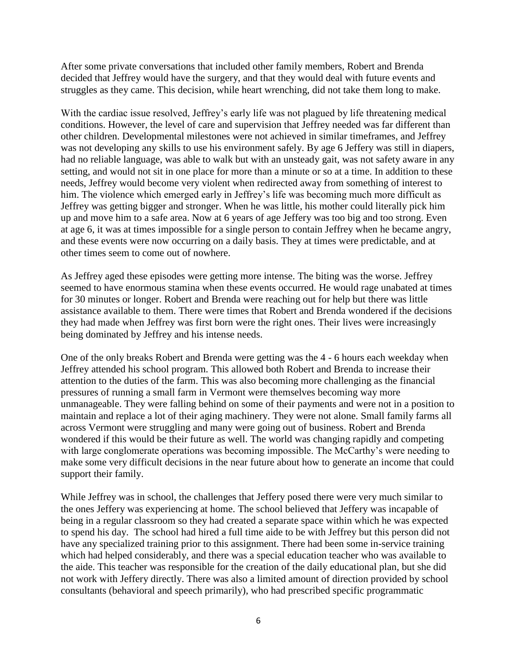After some private conversations that included other family members, Robert and Brenda decided that Jeffrey would have the surgery, and that they would deal with future events and struggles as they came. This decision, while heart wrenching, did not take them long to make.

With the cardiac issue resolved, Jeffrey's early life was not plagued by life threatening medical conditions. However, the level of care and supervision that Jeffrey needed was far different than other children. Developmental milestones were not achieved in similar timeframes, and Jeffrey was not developing any skills to use his environment safely. By age 6 Jeffery was still in diapers, had no reliable language, was able to walk but with an unsteady gait, was not safety aware in any setting, and would not sit in one place for more than a minute or so at a time. In addition to these needs, Jeffrey would become very violent when redirected away from something of interest to him. The violence which emerged early in Jeffrey's life was becoming much more difficult as Jeffrey was getting bigger and stronger. When he was little, his mother could literally pick him up and move him to a safe area. Now at 6 years of age Jeffery was too big and too strong. Even at age 6, it was at times impossible for a single person to contain Jeffrey when he became angry, and these events were now occurring on a daily basis. They at times were predictable, and at other times seem to come out of nowhere.

As Jeffrey aged these episodes were getting more intense. The biting was the worse. Jeffrey seemed to have enormous stamina when these events occurred. He would rage unabated at times for 30 minutes or longer. Robert and Brenda were reaching out for help but there was little assistance available to them. There were times that Robert and Brenda wondered if the decisions they had made when Jeffrey was first born were the right ones. Their lives were increasingly being dominated by Jeffrey and his intense needs.

One of the only breaks Robert and Brenda were getting was the 4 - 6 hours each weekday when Jeffrey attended his school program. This allowed both Robert and Brenda to increase their attention to the duties of the farm. This was also becoming more challenging as the financial pressures of running a small farm in Vermont were themselves becoming way more unmanageable. They were falling behind on some of their payments and were not in a position to maintain and replace a lot of their aging machinery. They were not alone. Small family farms all across Vermont were struggling and many were going out of business. Robert and Brenda wondered if this would be their future as well. The world was changing rapidly and competing with large conglomerate operations was becoming impossible. The McCarthy's were needing to make some very difficult decisions in the near future about how to generate an income that could support their family.

While Jeffrey was in school, the challenges that Jeffery posed there were very much similar to the ones Jeffery was experiencing at home. The school believed that Jeffery was incapable of being in a regular classroom so they had created a separate space within which he was expected to spend his day. The school had hired a full time aide to be with Jeffrey but this person did not have any specialized training prior to this assignment. There had been some in-service training which had helped considerably, and there was a special education teacher who was available to the aide. This teacher was responsible for the creation of the daily educational plan, but she did not work with Jeffery directly. There was also a limited amount of direction provided by school consultants (behavioral and speech primarily), who had prescribed specific programmatic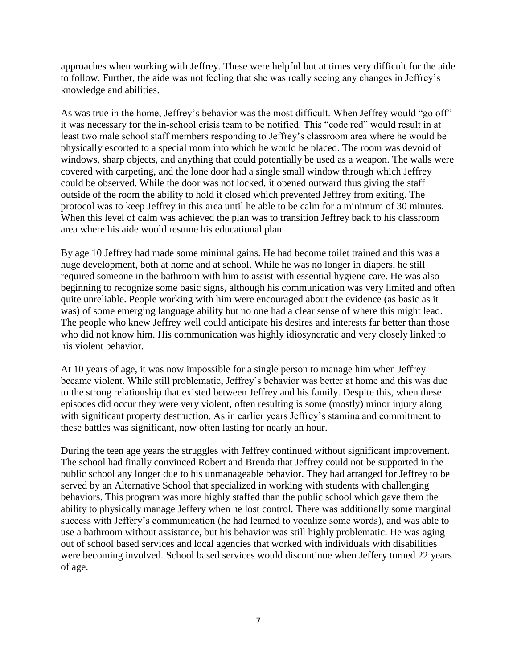approaches when working with Jeffrey. These were helpful but at times very difficult for the aide to follow. Further, the aide was not feeling that she was really seeing any changes in Jeffrey's knowledge and abilities.

As was true in the home, Jeffrey's behavior was the most difficult. When Jeffrey would "go off" it was necessary for the in-school crisis team to be notified. This "code red" would result in at least two male school staff members responding to Jeffrey's classroom area where he would be physically escorted to a special room into which he would be placed. The room was devoid of windows, sharp objects, and anything that could potentially be used as a weapon. The walls were covered with carpeting, and the lone door had a single small window through which Jeffrey could be observed. While the door was not locked, it opened outward thus giving the staff outside of the room the ability to hold it closed which prevented Jeffrey from exiting. The protocol was to keep Jeffrey in this area until he able to be calm for a minimum of 30 minutes. When this level of calm was achieved the plan was to transition Jeffrey back to his classroom area where his aide would resume his educational plan.

By age 10 Jeffrey had made some minimal gains. He had become toilet trained and this was a huge development, both at home and at school. While he was no longer in diapers, he still required someone in the bathroom with him to assist with essential hygiene care. He was also beginning to recognize some basic signs, although his communication was very limited and often quite unreliable. People working with him were encouraged about the evidence (as basic as it was) of some emerging language ability but no one had a clear sense of where this might lead. The people who knew Jeffrey well could anticipate his desires and interests far better than those who did not know him. His communication was highly idiosyncratic and very closely linked to his violent behavior.

At 10 years of age, it was now impossible for a single person to manage him when Jeffrey became violent. While still problematic, Jeffrey's behavior was better at home and this was due to the strong relationship that existed between Jeffrey and his family. Despite this, when these episodes did occur they were very violent, often resulting is some (mostly) minor injury along with significant property destruction. As in earlier years Jeffrey's stamina and commitment to these battles was significant, now often lasting for nearly an hour.

During the teen age years the struggles with Jeffrey continued without significant improvement. The school had finally convinced Robert and Brenda that Jeffrey could not be supported in the public school any longer due to his unmanageable behavior. They had arranged for Jeffrey to be served by an Alternative School that specialized in working with students with challenging behaviors. This program was more highly staffed than the public school which gave them the ability to physically manage Jeffery when he lost control. There was additionally some marginal success with Jeffery's communication (he had learned to vocalize some words), and was able to use a bathroom without assistance, but his behavior was still highly problematic. He was aging out of school based services and local agencies that worked with individuals with disabilities were becoming involved. School based services would discontinue when Jeffery turned 22 years of age.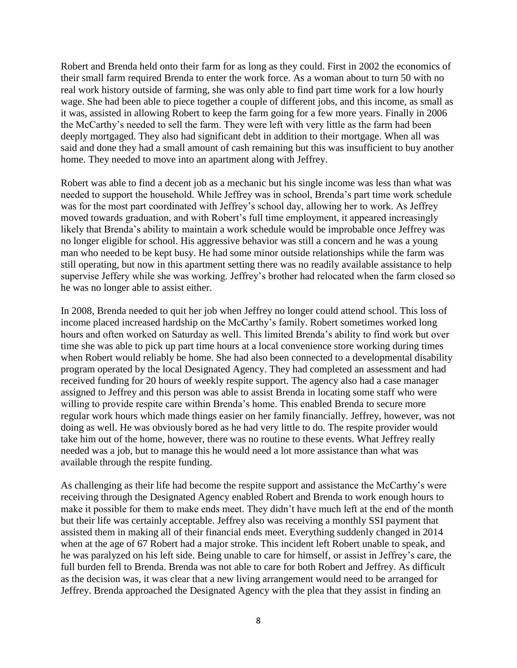Robert and Brenda held onto their farm for as long as they could. First in 2002 the economics of their small farm required Brenda to enter the work force. As a woman about to turn 50 with no real work history outside of farming, she was only able to find part time work for a low hourly wage. She had been able to piece together a couple of different jobs, and this income, as small as it was, assisted in allowing Robert to keep the farm going for a few more years. Finally in 2006 the McCarthy's needed to sell the farm. They were left with very little as the farm had been deeply mortgaged. They also had significant debt in addition to their mortgage. When all was said and done they had a small amount of cash remaining but this was insufficient to buy another home. They needed to move into an apartment along with Jeffrey.

Robert was able to find a decent job as a mechanic but his single income was less than what was needed to support the household. While Jeffrey was in school, Brenda's part time work schedule was for the most part coordinated with Jeffrey's school day, allowing her to work. As Jeffrey moved towards graduation, and with Robert's full time employment, it appeared increasingly likely that Brenda's ability to maintain a work schedule would be improbable once Jeffrey was no longer eligible for school. His aggressive behavior was still a concern and he was a young man who needed to be kept busy. He had some minor outside relationships while the farm was still operating, but now in this apartment setting there was no readily available assistance to help supervise Jeffery while she was working. Jeffrey's brother had relocated when the farm closed so he was no longer able to assist either.

In 2008, Brenda needed to quit her job when Jeffrey no longer could attend school. This loss of income placed increased hardship on the McCarthy's family. Robert sometimes worked long hours and often worked on Saturday as well. This limited Brenda's ability to find work but over time she was able to pick up part time hours at a local convenience store working during times when Robert would reliably be home. She had also been connected to a developmental disability program operated by the local Designated Agency. They had completed an assessment and had received funding for 20 hours of weekly respite support. The agency also had a case manager assigned to Jeffrey and this person was able to assist Brenda in locating some staff who were willing to provide respite care within Brenda's home. This enabled Brenda to secure more regular work hours which made things easier on her family financially. Jeffrey, however, was not doing as well. He was obviously bored as he had very little to do. The respite provider would take him out of the home, however, there was no routine to these events. What Jeffrey really needed was a job, but to manage this he would need a lot more assistance than what was available through the respite funding.

As challenging as their life had become the respite support and assistance the McCarthy's were receiving through the Designated Agency enabled Robert and Brenda to work enough hours to make it possible for them to make ends meet. They didn't have much left at the end of the month but their life was certainly acceptable. Jeffrey also was receiving a monthly SSI payment that assisted them in making all of their financial ends meet. Everything suddenly changed in 2014 when at the age of 67 Robert had a major stroke. This incident left Robert unable to speak, and he was paralyzed on his left side. Being unable to care for himself, or assist in Jeffrey's care, the full burden fell to Brenda. Brenda was not able to care for both Robert and Jeffrey. As difficult as the decision was, it was clear that a new living arrangement would need to be arranged for Jeffrey. Brenda approached the Designated Agency with the plea that they assist in finding an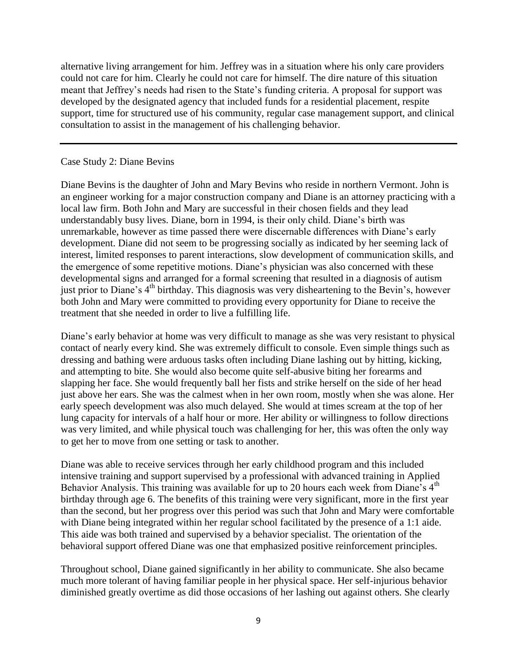alternative living arrangement for him. Jeffrey was in a situation where his only care providers could not care for him. Clearly he could not care for himself. The dire nature of this situation meant that Jeffrey's needs had risen to the State's funding criteria. A proposal for support was developed by the designated agency that included funds for a residential placement, respite support, time for structured use of his community, regular case management support, and clinical consultation to assist in the management of his challenging behavior.

#### Case Study 2: Diane Bevins

Diane Bevins is the daughter of John and Mary Bevins who reside in northern Vermont. John is an engineer working for a major construction company and Diane is an attorney practicing with a local law firm. Both John and Mary are successful in their chosen fields and they lead understandably busy lives. Diane, born in 1994, is their only child. Diane's birth was unremarkable, however as time passed there were discernable differences with Diane's early development. Diane did not seem to be progressing socially as indicated by her seeming lack of interest, limited responses to parent interactions, slow development of communication skills, and the emergence of some repetitive motions. Diane's physician was also concerned with these developmental signs and arranged for a formal screening that resulted in a diagnosis of autism just prior to Diane's 4<sup>th</sup> birthday. This diagnosis was very disheartening to the Bevin's, however both John and Mary were committed to providing every opportunity for Diane to receive the treatment that she needed in order to live a fulfilling life.

Diane's early behavior at home was very difficult to manage as she was very resistant to physical contact of nearly every kind. She was extremely difficult to console. Even simple things such as dressing and bathing were arduous tasks often including Diane lashing out by hitting, kicking, and attempting to bite. She would also become quite self-abusive biting her forearms and slapping her face. She would frequently ball her fists and strike herself on the side of her head just above her ears. She was the calmest when in her own room, mostly when she was alone. Her early speech development was also much delayed. She would at times scream at the top of her lung capacity for intervals of a half hour or more. Her ability or willingness to follow directions was very limited, and while physical touch was challenging for her, this was often the only way to get her to move from one setting or task to another.

Diane was able to receive services through her early childhood program and this included intensive training and support supervised by a professional with advanced training in Applied Behavior Analysis. This training was available for up to 20 hours each week from Diane's  $4<sup>th</sup>$ birthday through age 6. The benefits of this training were very significant, more in the first year than the second, but her progress over this period was such that John and Mary were comfortable with Diane being integrated within her regular school facilitated by the presence of a 1:1 aide. This aide was both trained and supervised by a behavior specialist. The orientation of the behavioral support offered Diane was one that emphasized positive reinforcement principles.

Throughout school, Diane gained significantly in her ability to communicate. She also became much more tolerant of having familiar people in her physical space. Her self-injurious behavior diminished greatly overtime as did those occasions of her lashing out against others. She clearly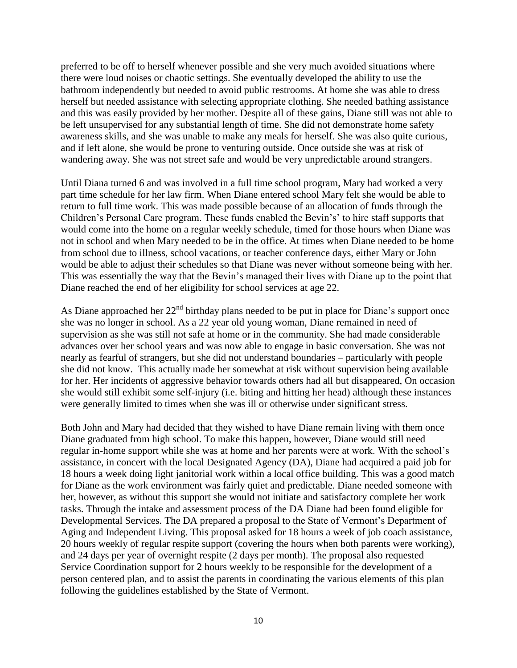preferred to be off to herself whenever possible and she very much avoided situations where there were loud noises or chaotic settings. She eventually developed the ability to use the bathroom independently but needed to avoid public restrooms. At home she was able to dress herself but needed assistance with selecting appropriate clothing. She needed bathing assistance and this was easily provided by her mother. Despite all of these gains, Diane still was not able to be left unsupervised for any substantial length of time. She did not demonstrate home safety awareness skills, and she was unable to make any meals for herself. She was also quite curious, and if left alone, she would be prone to venturing outside. Once outside she was at risk of wandering away. She was not street safe and would be very unpredictable around strangers.

Until Diana turned 6 and was involved in a full time school program, Mary had worked a very part time schedule for her law firm. When Diane entered school Mary felt she would be able to return to full time work. This was made possible because of an allocation of funds through the Children's Personal Care program. These funds enabled the Bevin's' to hire staff supports that would come into the home on a regular weekly schedule, timed for those hours when Diane was not in school and when Mary needed to be in the office. At times when Diane needed to be home from school due to illness, school vacations, or teacher conference days, either Mary or John would be able to adjust their schedules so that Diane was never without someone being with her. This was essentially the way that the Bevin's managed their lives with Diane up to the point that Diane reached the end of her eligibility for school services at age 22.

As Diane approached her  $22<sup>nd</sup>$  birthday plans needed to be put in place for Diane's support once she was no longer in school. As a 22 year old young woman, Diane remained in need of supervision as she was still not safe at home or in the community. She had made considerable advances over her school years and was now able to engage in basic conversation. She was not nearly as fearful of strangers, but she did not understand boundaries – particularly with people she did not know. This actually made her somewhat at risk without supervision being available for her. Her incidents of aggressive behavior towards others had all but disappeared, On occasion she would still exhibit some self-injury (i.e. biting and hitting her head) although these instances were generally limited to times when she was ill or otherwise under significant stress.

Both John and Mary had decided that they wished to have Diane remain living with them once Diane graduated from high school. To make this happen, however, Diane would still need regular in-home support while she was at home and her parents were at work. With the school's assistance, in concert with the local Designated Agency (DA), Diane had acquired a paid job for 18 hours a week doing light janitorial work within a local office building. This was a good match for Diane as the work environment was fairly quiet and predictable. Diane needed someone with her, however, as without this support she would not initiate and satisfactory complete her work tasks. Through the intake and assessment process of the DA Diane had been found eligible for Developmental Services. The DA prepared a proposal to the State of Vermont's Department of Aging and Independent Living. This proposal asked for 18 hours a week of job coach assistance, 20 hours weekly of regular respite support (covering the hours when both parents were working), and 24 days per year of overnight respite (2 days per month). The proposal also requested Service Coordination support for 2 hours weekly to be responsible for the development of a person centered plan, and to assist the parents in coordinating the various elements of this plan following the guidelines established by the State of Vermont.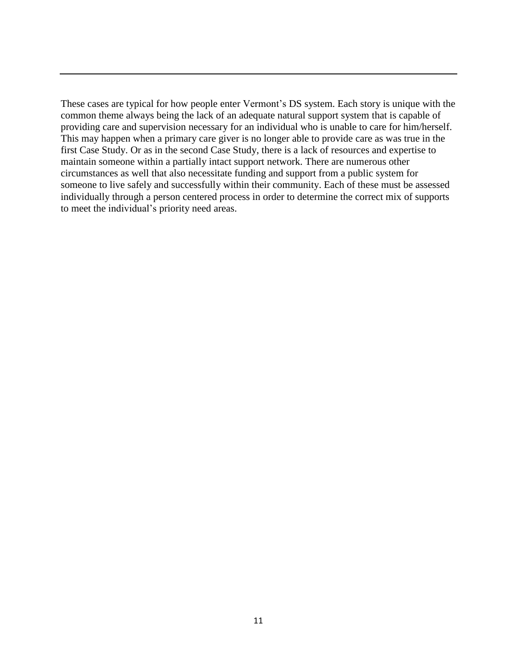These cases are typical for how people enter Vermont's DS system. Each story is unique with the common theme always being the lack of an adequate natural support system that is capable of providing care and supervision necessary for an individual who is unable to care for him/herself. This may happen when a primary care giver is no longer able to provide care as was true in the first Case Study. Or as in the second Case Study, there is a lack of resources and expertise to maintain someone within a partially intact support network. There are numerous other circumstances as well that also necessitate funding and support from a public system for someone to live safely and successfully within their community. Each of these must be assessed individually through a person centered process in order to determine the correct mix of supports to meet the individual's priority need areas.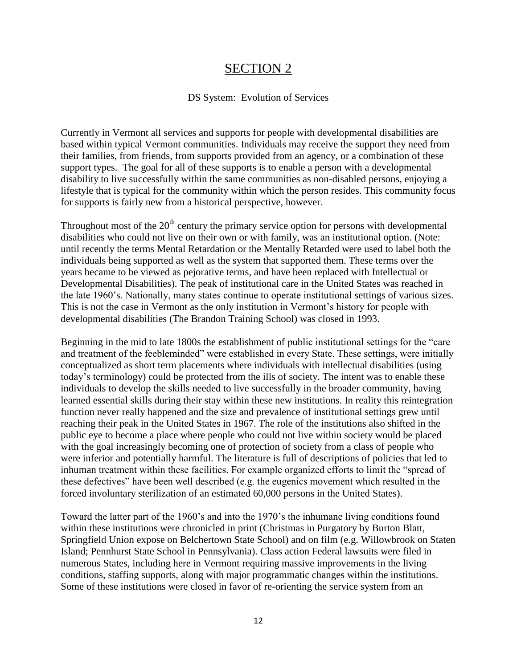# SECTION 2

### DS System: Evolution of Services

Currently in Vermont all services and supports for people with developmental disabilities are based within typical Vermont communities. Individuals may receive the support they need from their families, from friends, from supports provided from an agency, or a combination of these support types. The goal for all of these supports is to enable a person with a developmental disability to live successfully within the same communities as non-disabled persons, enjoying a lifestyle that is typical for the community within which the person resides. This community focus for supports is fairly new from a historical perspective, however.

Throughout most of the  $20<sup>th</sup>$  century the primary service option for persons with developmental disabilities who could not live on their own or with family, was an institutional option. (Note: until recently the terms Mental Retardation or the Mentally Retarded were used to label both the individuals being supported as well as the system that supported them. These terms over the years became to be viewed as pejorative terms, and have been replaced with Intellectual or Developmental Disabilities). The peak of institutional care in the United States was reached in the late 1960's. Nationally, many states continue to operate institutional settings of various sizes. This is not the case in Vermont as the only institution in Vermont's history for people with developmental disabilities (The Brandon Training School) was closed in 1993.

Beginning in the mid to late 1800s the establishment of public institutional settings for the "care and treatment of the feebleminded" were established in every State. These settings, were initially conceptualized as short term placements where individuals with intellectual disabilities (using today's terminology) could be protected from the ills of society. The intent was to enable these individuals to develop the skills needed to live successfully in the broader community, having learned essential skills during their stay within these new institutions. In reality this reintegration function never really happened and the size and prevalence of institutional settings grew until reaching their peak in the United States in 1967. The role of the institutions also shifted in the public eye to become a place where people who could not live within society would be placed with the goal increasingly becoming one of protection of society from a class of people who were inferior and potentially harmful. The literature is full of descriptions of policies that led to inhuman treatment within these facilities. For example organized efforts to limit the "spread of these defectives" have been well described (e.g. the eugenics movement which resulted in the forced involuntary sterilization of an estimated 60,000 persons in the United States).

Toward the latter part of the 1960's and into the 1970's the inhumane living conditions found within these institutions were chronicled in print (Christmas in Purgatory by Burton Blatt, Springfield Union expose on Belchertown State School) and on film (e.g. Willowbrook on Staten Island; Pennhurst State School in Pennsylvania). Class action Federal lawsuits were filed in numerous States, including here in Vermont requiring massive improvements in the living conditions, staffing supports, along with major programmatic changes within the institutions. Some of these institutions were closed in favor of re-orienting the service system from an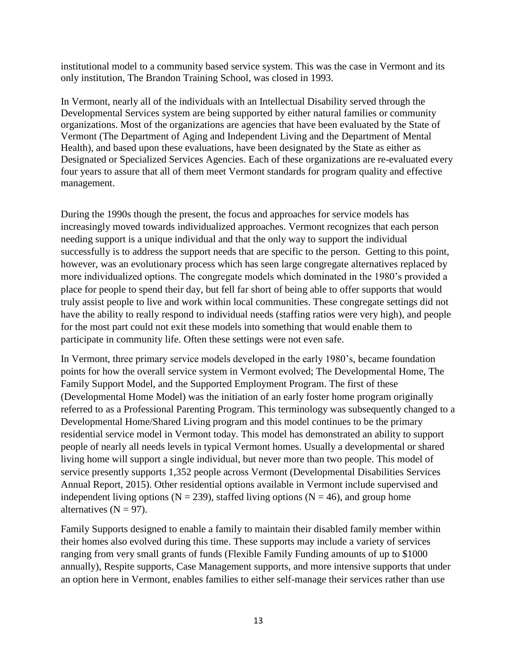institutional model to a community based service system. This was the case in Vermont and its only institution, The Brandon Training School, was closed in 1993.

In Vermont, nearly all of the individuals with an Intellectual Disability served through the Developmental Services system are being supported by either natural families or community organizations. Most of the organizations are agencies that have been evaluated by the State of Vermont (The Department of Aging and Independent Living and the Department of Mental Health), and based upon these evaluations, have been designated by the State as either as Designated or Specialized Services Agencies. Each of these organizations are re-evaluated every four years to assure that all of them meet Vermont standards for program quality and effective management.

During the 1990s though the present, the focus and approaches for service models has increasingly moved towards individualized approaches. Vermont recognizes that each person needing support is a unique individual and that the only way to support the individual successfully is to address the support needs that are specific to the person. Getting to this point, however, was an evolutionary process which has seen large congregate alternatives replaced by more individualized options. The congregate models which dominated in the 1980's provided a place for people to spend their day, but fell far short of being able to offer supports that would truly assist people to live and work within local communities. These congregate settings did not have the ability to really respond to individual needs (staffing ratios were very high), and people for the most part could not exit these models into something that would enable them to participate in community life. Often these settings were not even safe.

In Vermont, three primary service models developed in the early 1980's, became foundation points for how the overall service system in Vermont evolved; The Developmental Home, The Family Support Model, and the Supported Employment Program. The first of these (Developmental Home Model) was the initiation of an early foster home program originally referred to as a Professional Parenting Program. This terminology was subsequently changed to a Developmental Home/Shared Living program and this model continues to be the primary residential service model in Vermont today. This model has demonstrated an ability to support people of nearly all needs levels in typical Vermont homes. Usually a developmental or shared living home will support a single individual, but never more than two people. This model of service presently supports 1,352 people across Vermont (Developmental Disabilities Services Annual Report, 2015). Other residential options available in Vermont include supervised and independent living options ( $N = 239$ ), staffed living options ( $N = 46$ ), and group home alternatives  $(N = 97)$ .

Family Supports designed to enable a family to maintain their disabled family member within their homes also evolved during this time. These supports may include a variety of services ranging from very small grants of funds (Flexible Family Funding amounts of up to \$1000 annually), Respite supports, Case Management supports, and more intensive supports that under an option here in Vermont, enables families to either self-manage their services rather than use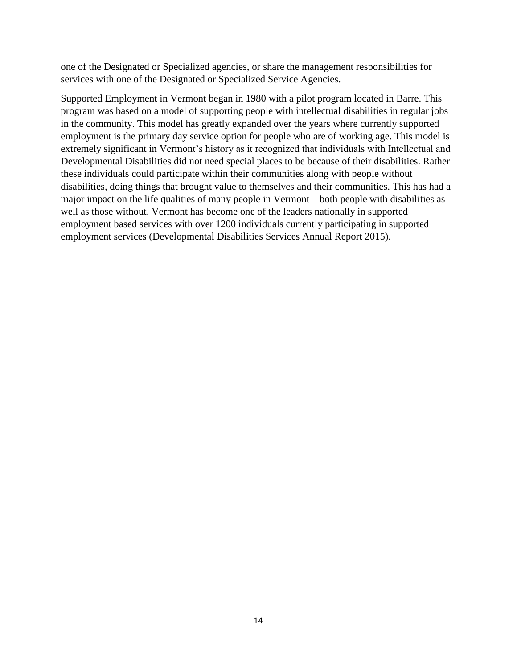one of the Designated or Specialized agencies, or share the management responsibilities for services with one of the Designated or Specialized Service Agencies.

Supported Employment in Vermont began in 1980 with a pilot program located in Barre. This program was based on a model of supporting people with intellectual disabilities in regular jobs in the community. This model has greatly expanded over the years where currently supported employment is the primary day service option for people who are of working age. This model is extremely significant in Vermont's history as it recognized that individuals with Intellectual and Developmental Disabilities did not need special places to be because of their disabilities. Rather these individuals could participate within their communities along with people without disabilities, doing things that brought value to themselves and their communities. This has had a major impact on the life qualities of many people in Vermont – both people with disabilities as well as those without. Vermont has become one of the leaders nationally in supported employment based services with over 1200 individuals currently participating in supported employment services (Developmental Disabilities Services Annual Report 2015).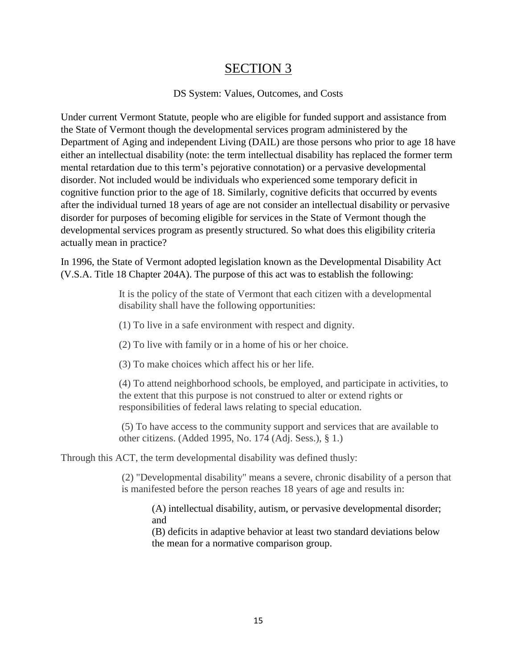# SECTION 3

## DS System: Values, Outcomes, and Costs

Under current Vermont Statute, people who are eligible for funded support and assistance from the State of Vermont though the developmental services program administered by the Department of Aging and independent Living (DAIL) are those persons who prior to age 18 have either an intellectual disability (note: the term intellectual disability has replaced the former term mental retardation due to this term's pejorative connotation) or a pervasive developmental disorder. Not included would be individuals who experienced some temporary deficit in cognitive function prior to the age of 18. Similarly, cognitive deficits that occurred by events after the individual turned 18 years of age are not consider an intellectual disability or pervasive disorder for purposes of becoming eligible for services in the State of Vermont though the developmental services program as presently structured. So what does this eligibility criteria actually mean in practice?

In 1996, the State of Vermont adopted legislation known as the Developmental Disability Act (V.S.A. Title 18 Chapter 204A). The purpose of this act was to establish the following:

> It is the policy of the state of Vermont that each citizen with a developmental disability shall have the following opportunities:

(1) To live in a safe environment with respect and dignity.

(2) To live with family or in a home of his or her choice.

(3) To make choices which affect his or her life.

(4) To attend neighborhood schools, be employed, and participate in activities, to the extent that this purpose is not construed to alter or extend rights or responsibilities of federal laws relating to special education.

(5) To have access to the community support and services that are available to other citizens. (Added 1995, No. 174 (Adj. Sess.), § 1.)

Through this ACT, the term developmental disability was defined thusly:

(2) "Developmental disability" means a severe, chronic disability of a person that is manifested before the person reaches 18 years of age and results in:

(A) intellectual disability, autism, or pervasive developmental disorder; and

(B) deficits in adaptive behavior at least two standard deviations below the mean for a normative comparison group.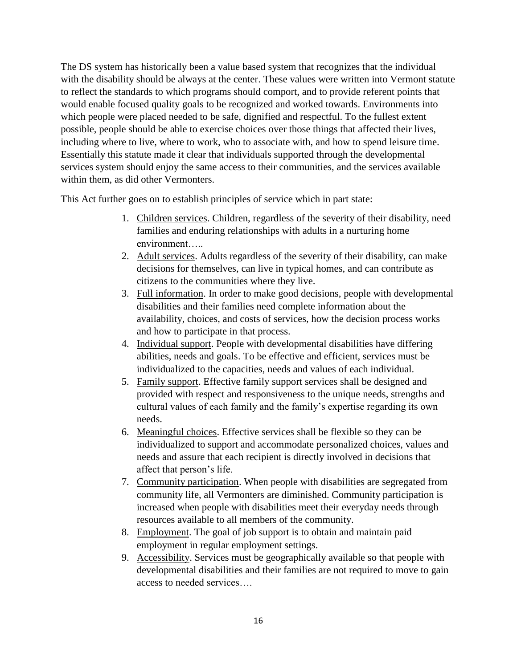The DS system has historically been a value based system that recognizes that the individual with the disability should be always at the center. These values were written into Vermont statute to reflect the standards to which programs should comport, and to provide referent points that would enable focused quality goals to be recognized and worked towards. Environments into which people were placed needed to be safe, dignified and respectful. To the fullest extent possible, people should be able to exercise choices over those things that affected their lives, including where to live, where to work, who to associate with, and how to spend leisure time. Essentially this statute made it clear that individuals supported through the developmental services system should enjoy the same access to their communities, and the services available within them, as did other Vermonters.

This Act further goes on to establish principles of service which in part state:

- 1. Children services. Children, regardless of the severity of their disability, need families and enduring relationships with adults in a nurturing home environment…..
- 2. Adult services. Adults regardless of the severity of their disability, can make decisions for themselves, can live in typical homes, and can contribute as citizens to the communities where they live.
- 3. Full information. In order to make good decisions, people with developmental disabilities and their families need complete information about the availability, choices, and costs of services, how the decision process works and how to participate in that process.
- 4. Individual support. People with developmental disabilities have differing abilities, needs and goals. To be effective and efficient, services must be individualized to the capacities, needs and values of each individual.
- 5. Family support. Effective family support services shall be designed and provided with respect and responsiveness to the unique needs, strengths and cultural values of each family and the family's expertise regarding its own needs.
- 6. Meaningful choices. Effective services shall be flexible so they can be individualized to support and accommodate personalized choices, values and needs and assure that each recipient is directly involved in decisions that affect that person's life.
- 7. Community participation. When people with disabilities are segregated from community life, all Vermonters are diminished. Community participation is increased when people with disabilities meet their everyday needs through resources available to all members of the community.
- 8. Employment. The goal of job support is to obtain and maintain paid employment in regular employment settings.
- 9. Accessibility. Services must be geographically available so that people with developmental disabilities and their families are not required to move to gain access to needed services….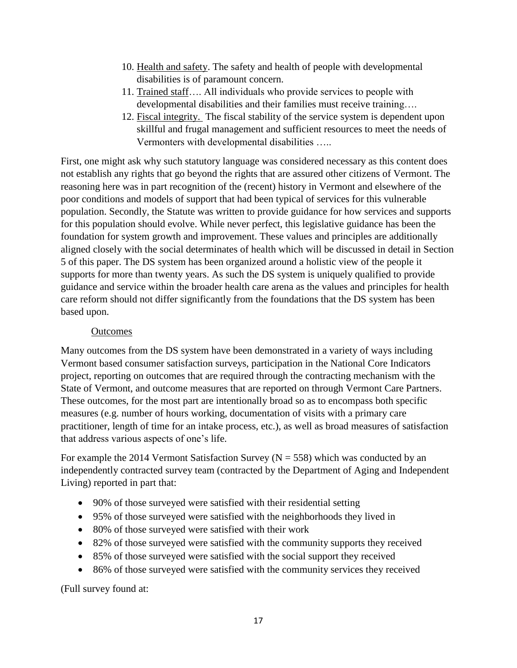- 10. Health and safety. The safety and health of people with developmental disabilities is of paramount concern.
- 11. Trained staff…. All individuals who provide services to people with developmental disabilities and their families must receive training….
- 12. Fiscal integrity. The fiscal stability of the service system is dependent upon skillful and frugal management and sufficient resources to meet the needs of Vermonters with developmental disabilities …..

First, one might ask why such statutory language was considered necessary as this content does not establish any rights that go beyond the rights that are assured other citizens of Vermont. The reasoning here was in part recognition of the (recent) history in Vermont and elsewhere of the poor conditions and models of support that had been typical of services for this vulnerable population. Secondly, the Statute was written to provide guidance for how services and supports for this population should evolve. While never perfect, this legislative guidance has been the foundation for system growth and improvement. These values and principles are additionally aligned closely with the social determinates of health which will be discussed in detail in Section 5 of this paper. The DS system has been organized around a holistic view of the people it supports for more than twenty years. As such the DS system is uniquely qualified to provide guidance and service within the broader health care arena as the values and principles for health care reform should not differ significantly from the foundations that the DS system has been based upon.

## **Outcomes**

Many outcomes from the DS system have been demonstrated in a variety of ways including Vermont based consumer satisfaction surveys, participation in the National Core Indicators project, reporting on outcomes that are required through the contracting mechanism with the State of Vermont, and outcome measures that are reported on through Vermont Care Partners. These outcomes, for the most part are intentionally broad so as to encompass both specific measures (e.g. number of hours working, documentation of visits with a primary care practitioner, length of time for an intake process, etc.), as well as broad measures of satisfaction that address various aspects of one's life.

For example the 2014 Vermont Satisfaction Survey ( $N = 558$ ) which was conducted by an independently contracted survey team (contracted by the Department of Aging and Independent Living) reported in part that:

- 90% of those surveyed were satisfied with their residential setting
- 95% of those surveyed were satisfied with the neighborhoods they lived in
- 80% of those surveyed were satisfied with their work
- 82% of those surveyed were satisfied with the community supports they received
- 85% of those surveyed were satisfied with the social support they received
- 86% of those surveyed were satisfied with the community services they received

(Full survey found at: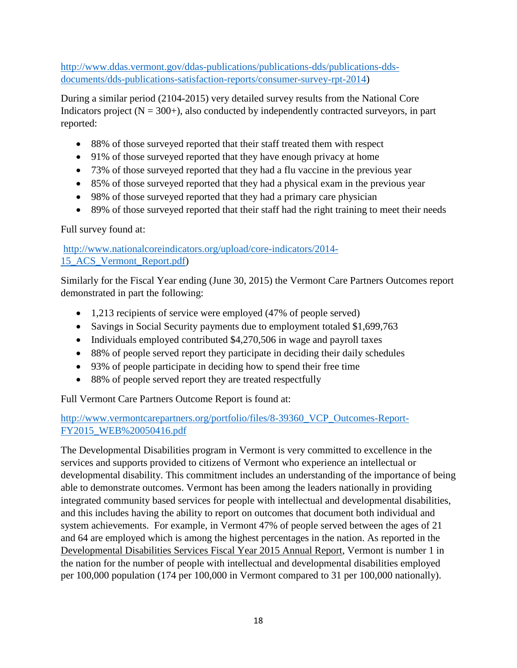[http://www.ddas.vermont.gov/ddas-publications/publications-dds/publications-dds](http://www.ddas.vermont.gov/ddas-publications/publications-dds/publications-dds-documents/dds-publications-satisfaction-reports/consumer-survey-rpt-2014)[documents/dds-publications-satisfaction-reports/consumer-survey-rpt-2014\)](http://www.ddas.vermont.gov/ddas-publications/publications-dds/publications-dds-documents/dds-publications-satisfaction-reports/consumer-survey-rpt-2014)

During a similar period (2104-2015) very detailed survey results from the National Core Indicators project  $(N = 300+)$ , also conducted by independently contracted surveyors, in part reported:

- 88% of those surveyed reported that their staff treated them with respect
- 91% of those surveyed reported that they have enough privacy at home
- 73% of those surveyed reported that they had a flu vaccine in the previous year
- 85% of those surveyed reported that they had a physical exam in the previous year
- 98% of those surveyed reported that they had a primary care physician
- 89% of those surveyed reported that their staff had the right training to meet their needs

# Full survey found at:

[http://www.nationalcoreindicators.org/upload/core-indicators/2014-](http://www.nationalcoreindicators.org/upload/core-indicators/2014-15_ACS_Vermont_Report.pdf) [15\\_ACS\\_Vermont\\_Report.pdf\)](http://www.nationalcoreindicators.org/upload/core-indicators/2014-15_ACS_Vermont_Report.pdf)

Similarly for the Fiscal Year ending (June 30, 2015) the Vermont Care Partners Outcomes report demonstrated in part the following:

- 1,213 recipients of service were employed (47% of people served)
- Savings in Social Security payments due to employment totaled \$1,699,763
- Individuals employed contributed \$4,270,506 in wage and payroll taxes
- 88% of people served report they participate in deciding their daily schedules
- 93% of people participate in deciding how to spend their free time
- 88% of people served report they are treated respectfully

Full Vermont Care Partners Outcome Report is found at:

# [http://www.vermontcarepartners.org/portfolio/files/8-39360\\_VCP\\_Outcomes-Report-](http://www.vermontcarepartners.org/portfolio/files/8-39360_VCP_Outcomes-Report-FY2015_WEB%20050416.pdf)[FY2015\\_WEB%20050416.pdf](http://www.vermontcarepartners.org/portfolio/files/8-39360_VCP_Outcomes-Report-FY2015_WEB%20050416.pdf)

The Developmental Disabilities program in Vermont is very committed to excellence in the services and supports provided to citizens of Vermont who experience an intellectual or developmental disability. This commitment includes an understanding of the importance of being able to demonstrate outcomes. Vermont has been among the leaders nationally in providing integrated community based services for people with intellectual and developmental disabilities, and this includes having the ability to report on outcomes that document both individual and system achievements. For example, in Vermont 47% of people served between the ages of 21 and 64 are employed which is among the highest percentages in the nation. As reported in the Developmental Disabilities Services Fiscal Year 2015 Annual Report, Vermont is number 1 in the nation for the number of people with intellectual and developmental disabilities employed per 100,000 population (174 per 100,000 in Vermont compared to 31 per 100,000 nationally).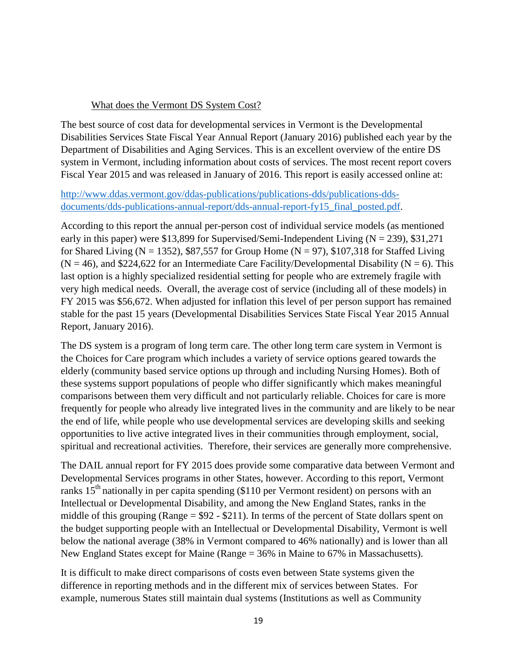## What does the Vermont DS System Cost?

The best source of cost data for developmental services in Vermont is the Developmental Disabilities Services State Fiscal Year Annual Report (January 2016) published each year by the Department of Disabilities and Aging Services. This is an excellent overview of the entire DS system in Vermont, including information about costs of services. The most recent report covers Fiscal Year 2015 and was released in January of 2016. This report is easily accessed online at:

# [http://www.ddas.vermont.gov/ddas-publications/publications-dds/publications-dds](http://www.ddas.vermont.gov/ddas-publications/publications-dds/publications-dds-documents/dds-publications-annual-report/dds-annual-report-fy15_final_posted.pdf)documents/dds-publications-annual-report/dds-annual-report-fy15 final posted.pdf.

According to this report the annual per-person cost of individual service models (as mentioned early in this paper) were \$13,899 for Supervised/Semi-Independent Living ( $N = 239$ ), \$31,271 for Shared Living ( $N = 1352$ ), \$87,557 for Group Home ( $N = 97$ ), \$107,318 for Staffed Living  $(N = 46)$ , and \$224,622 for an Intermediate Care Facility/Developmental Disability (N = 6). This last option is a highly specialized residential setting for people who are extremely fragile with very high medical needs. Overall, the average cost of service (including all of these models) in FY 2015 was \$56,672. When adjusted for inflation this level of per person support has remained stable for the past 15 years (Developmental Disabilities Services State Fiscal Year 2015 Annual Report, January 2016).

The DS system is a program of long term care. The other long term care system in Vermont is the Choices for Care program which includes a variety of service options geared towards the elderly (community based service options up through and including Nursing Homes). Both of these systems support populations of people who differ significantly which makes meaningful comparisons between them very difficult and not particularly reliable. Choices for care is more frequently for people who already live integrated lives in the community and are likely to be near the end of life, while people who use developmental services are developing skills and seeking opportunities to live active integrated lives in their communities through employment, social, spiritual and recreational activities. Therefore, their services are generally more comprehensive.

The DAIL annual report for FY 2015 does provide some comparative data between Vermont and Developmental Services programs in other States, however. According to this report, Vermont ranks  $15<sup>th</sup>$  nationally in per capita spending (\$110 per Vermont resident) on persons with an Intellectual or Developmental Disability, and among the New England States, ranks in the middle of this grouping (Range  $= $92 - $211$ ). In terms of the percent of State dollars spent on the budget supporting people with an Intellectual or Developmental Disability, Vermont is well below the national average (38% in Vermont compared to 46% nationally) and is lower than all New England States except for Maine (Range = 36% in Maine to 67% in Massachusetts).

It is difficult to make direct comparisons of costs even between State systems given the difference in reporting methods and in the different mix of services between States. For example, numerous States still maintain dual systems (Institutions as well as Community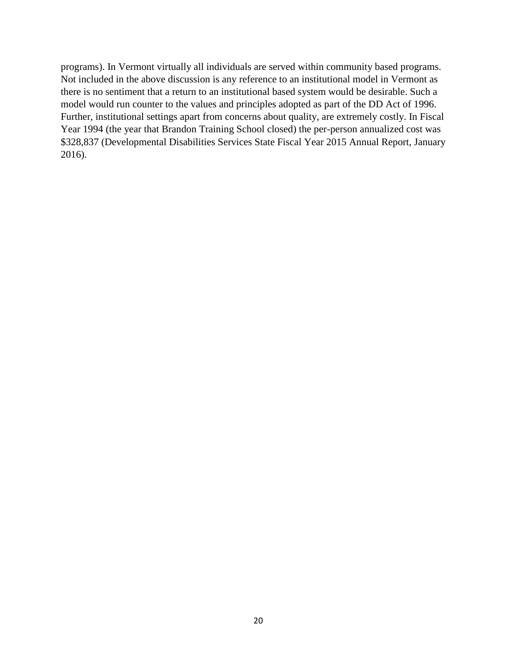programs). In Vermont virtually all individuals are served within community based programs. Not included in the above discussion is any reference to an institutional model in Vermont as there is no sentiment that a return to an institutional based system would be desirable. Such a model would run counter to the values and principles adopted as part of the DD Act of 1996. Further, institutional settings apart from concerns about quality, are extremely costly. In Fiscal Year 1994 (the year that Brandon Training School closed) the per-person annualized cost was \$328,837 (Developmental Disabilities Services State Fiscal Year 2015 Annual Report, January 2016).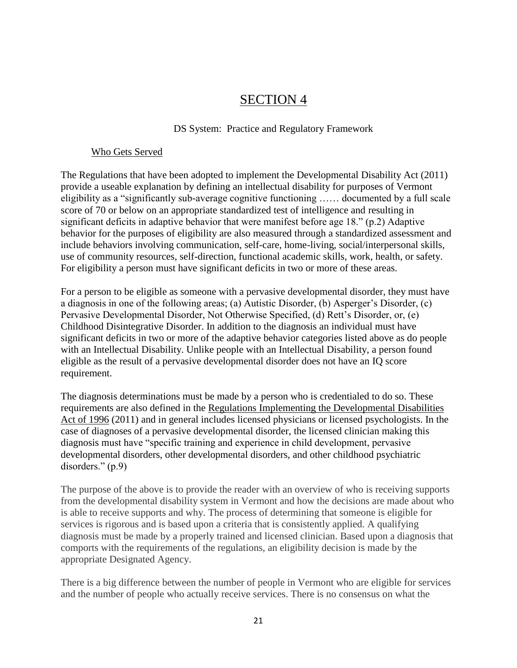# SECTION 4

## DS System: Practice and Regulatory Framework

### Who Gets Served

The Regulations that have been adopted to implement the Developmental Disability Act (2011) provide a useable explanation by defining an intellectual disability for purposes of Vermont eligibility as a "significantly sub-average cognitive functioning …… documented by a full scale score of 70 or below on an appropriate standardized test of intelligence and resulting in significant deficits in adaptive behavior that were manifest before age 18." (p.2) Adaptive behavior for the purposes of eligibility are also measured through a standardized assessment and include behaviors involving communication, self-care, home-living, social/interpersonal skills, use of community resources, self-direction, functional academic skills, work, health, or safety. For eligibility a person must have significant deficits in two or more of these areas.

For a person to be eligible as someone with a pervasive developmental disorder, they must have a diagnosis in one of the following areas; (a) Autistic Disorder, (b) Asperger's Disorder, (c) Pervasive Developmental Disorder, Not Otherwise Specified, (d) Rett's Disorder, or, (e) Childhood Disintegrative Disorder. In addition to the diagnosis an individual must have significant deficits in two or more of the adaptive behavior categories listed above as do people with an Intellectual Disability. Unlike people with an Intellectual Disability, a person found eligible as the result of a pervasive developmental disorder does not have an IQ score requirement.

The diagnosis determinations must be made by a person who is credentialed to do so. These requirements are also defined in the Regulations Implementing the Developmental Disabilities Act of 1996 (2011) and in general includes licensed physicians or licensed psychologists. In the case of diagnoses of a pervasive developmental disorder, the licensed clinician making this diagnosis must have "specific training and experience in child development, pervasive developmental disorders, other developmental disorders, and other childhood psychiatric disorders." (p.9)

The purpose of the above is to provide the reader with an overview of who is receiving supports from the developmental disability system in Vermont and how the decisions are made about who is able to receive supports and why. The process of determining that someone is eligible for services is rigorous and is based upon a criteria that is consistently applied. A qualifying diagnosis must be made by a properly trained and licensed clinician. Based upon a diagnosis that comports with the requirements of the regulations, an eligibility decision is made by the appropriate Designated Agency.

There is a big difference between the number of people in Vermont who are eligible for services and the number of people who actually receive services. There is no consensus on what the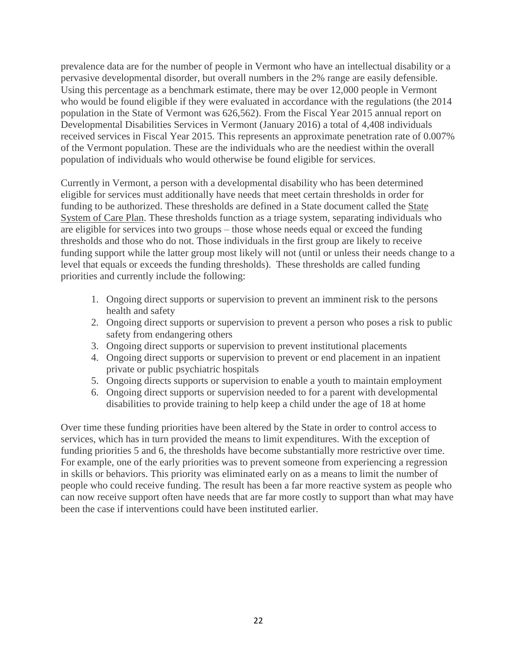prevalence data are for the number of people in Vermont who have an intellectual disability or a pervasive developmental disorder, but overall numbers in the 2% range are easily defensible. Using this percentage as a benchmark estimate, there may be over 12,000 people in Vermont who would be found eligible if they were evaluated in accordance with the regulations (the 2014 population in the State of Vermont was 626,562). From the Fiscal Year 2015 annual report on Developmental Disabilities Services in Vermont (January 2016) a total of 4,408 individuals received services in Fiscal Year 2015. This represents an approximate penetration rate of 0.007% of the Vermont population. These are the individuals who are the neediest within the overall population of individuals who would otherwise be found eligible for services.

Currently in Vermont, a person with a developmental disability who has been determined eligible for services must additionally have needs that meet certain thresholds in order for funding to be authorized. These thresholds are defined in a State document called the State System of Care Plan. These thresholds function as a triage system, separating individuals who are eligible for services into two groups – those whose needs equal or exceed the funding thresholds and those who do not. Those individuals in the first group are likely to receive funding support while the latter group most likely will not (until or unless their needs change to a level that equals or exceeds the funding thresholds). These thresholds are called funding priorities and currently include the following:

- 1. Ongoing direct supports or supervision to prevent an imminent risk to the persons health and safety
- 2. Ongoing direct supports or supervision to prevent a person who poses a risk to public safety from endangering others
- 3. Ongoing direct supports or supervision to prevent institutional placements
- 4. Ongoing direct supports or supervision to prevent or end placement in an inpatient private or public psychiatric hospitals
- 5. Ongoing directs supports or supervision to enable a youth to maintain employment
- 6. Ongoing direct supports or supervision needed to for a parent with developmental disabilities to provide training to help keep a child under the age of 18 at home

Over time these funding priorities have been altered by the State in order to control access to services, which has in turn provided the means to limit expenditures. With the exception of funding priorities 5 and 6, the thresholds have become substantially more restrictive over time. For example, one of the early priorities was to prevent someone from experiencing a regression in skills or behaviors. This priority was eliminated early on as a means to limit the number of people who could receive funding. The result has been a far more reactive system as people who can now receive support often have needs that are far more costly to support than what may have been the case if interventions could have been instituted earlier.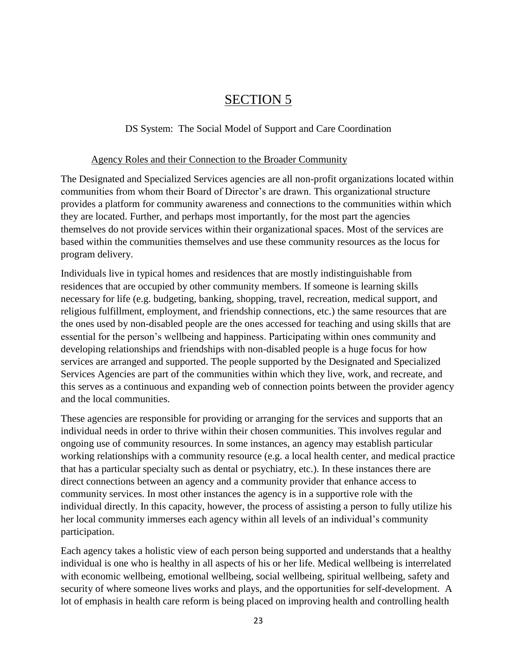# SECTION 5

# DS System: The Social Model of Support and Care Coordination

### Agency Roles and their Connection to the Broader Community

The Designated and Specialized Services agencies are all non-profit organizations located within communities from whom their Board of Director's are drawn. This organizational structure provides a platform for community awareness and connections to the communities within which they are located. Further, and perhaps most importantly, for the most part the agencies themselves do not provide services within their organizational spaces. Most of the services are based within the communities themselves and use these community resources as the locus for program delivery.

Individuals live in typical homes and residences that are mostly indistinguishable from residences that are occupied by other community members. If someone is learning skills necessary for life (e.g. budgeting, banking, shopping, travel, recreation, medical support, and religious fulfillment, employment, and friendship connections, etc.) the same resources that are the ones used by non-disabled people are the ones accessed for teaching and using skills that are essential for the person's wellbeing and happiness. Participating within ones community and developing relationships and friendships with non-disabled people is a huge focus for how services are arranged and supported. The people supported by the Designated and Specialized Services Agencies are part of the communities within which they live, work, and recreate, and this serves as a continuous and expanding web of connection points between the provider agency and the local communities.

These agencies are responsible for providing or arranging for the services and supports that an individual needs in order to thrive within their chosen communities. This involves regular and ongoing use of community resources. In some instances, an agency may establish particular working relationships with a community resource (e.g. a local health center, and medical practice that has a particular specialty such as dental or psychiatry, etc.). In these instances there are direct connections between an agency and a community provider that enhance access to community services. In most other instances the agency is in a supportive role with the individual directly. In this capacity, however, the process of assisting a person to fully utilize his her local community immerses each agency within all levels of an individual's community participation.

Each agency takes a holistic view of each person being supported and understands that a healthy individual is one who is healthy in all aspects of his or her life. Medical wellbeing is interrelated with economic wellbeing, emotional wellbeing, social wellbeing, spiritual wellbeing, safety and security of where someone lives works and plays, and the opportunities for self-development. A lot of emphasis in health care reform is being placed on improving health and controlling health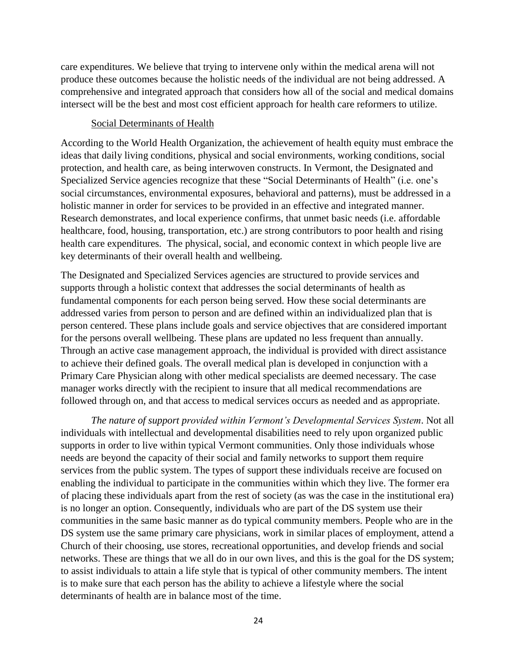care expenditures. We believe that trying to intervene only within the medical arena will not produce these outcomes because the holistic needs of the individual are not being addressed. A comprehensive and integrated approach that considers how all of the social and medical domains intersect will be the best and most cost efficient approach for health care reformers to utilize.

#### Social Determinants of Health

According to the World Health Organization, the achievement of health equity must embrace the ideas that daily living conditions, physical and social environments, working conditions, social protection, and health care, as being interwoven constructs. In Vermont, the Designated and Specialized Service agencies recognize that these "Social Determinants of Health" (i.e. one's social circumstances, environmental exposures, behavioral and patterns), must be addressed in a holistic manner in order for services to be provided in an effective and integrated manner. Research demonstrates, and local experience confirms, that unmet basic needs (i.e. affordable healthcare, food, housing, transportation, etc.) are strong contributors to poor health and rising health care expenditures. The physical, social, and economic context in which people live are key determinants of their overall health and wellbeing.

The Designated and Specialized Services agencies are structured to provide services and supports through a holistic context that addresses the social determinants of health as fundamental components for each person being served. How these social determinants are addressed varies from person to person and are defined within an individualized plan that is person centered. These plans include goals and service objectives that are considered important for the persons overall wellbeing. These plans are updated no less frequent than annually. Through an active case management approach, the individual is provided with direct assistance to achieve their defined goals. The overall medical plan is developed in conjunction with a Primary Care Physician along with other medical specialists are deemed necessary. The case manager works directly with the recipient to insure that all medical recommendations are followed through on, and that access to medical services occurs as needed and as appropriate.

*The nature of support provided within Vermont's Developmental Services System*. Not all individuals with intellectual and developmental disabilities need to rely upon organized public supports in order to live within typical Vermont communities. Only those individuals whose needs are beyond the capacity of their social and family networks to support them require services from the public system. The types of support these individuals receive are focused on enabling the individual to participate in the communities within which they live. The former era of placing these individuals apart from the rest of society (as was the case in the institutional era) is no longer an option. Consequently, individuals who are part of the DS system use their communities in the same basic manner as do typical community members. People who are in the DS system use the same primary care physicians, work in similar places of employment, attend a Church of their choosing, use stores, recreational opportunities, and develop friends and social networks. These are things that we all do in our own lives, and this is the goal for the DS system; to assist individuals to attain a life style that is typical of other community members. The intent is to make sure that each person has the ability to achieve a lifestyle where the social determinants of health are in balance most of the time.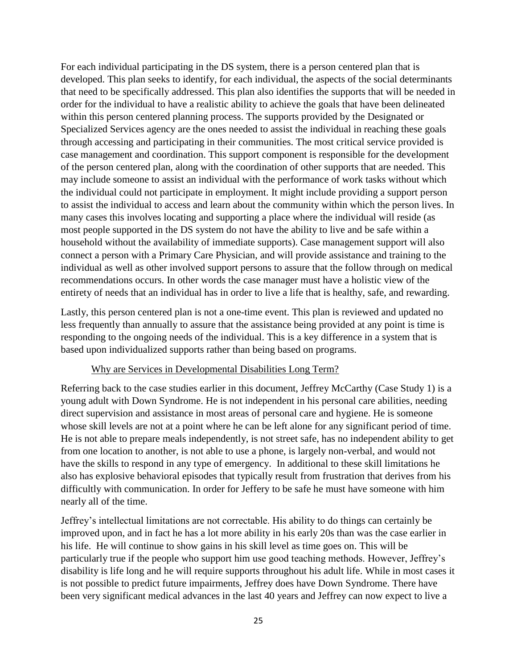For each individual participating in the DS system, there is a person centered plan that is developed. This plan seeks to identify, for each individual, the aspects of the social determinants that need to be specifically addressed. This plan also identifies the supports that will be needed in order for the individual to have a realistic ability to achieve the goals that have been delineated within this person centered planning process. The supports provided by the Designated or Specialized Services agency are the ones needed to assist the individual in reaching these goals through accessing and participating in their communities. The most critical service provided is case management and coordination. This support component is responsible for the development of the person centered plan, along with the coordination of other supports that are needed. This may include someone to assist an individual with the performance of work tasks without which the individual could not participate in employment. It might include providing a support person to assist the individual to access and learn about the community within which the person lives. In many cases this involves locating and supporting a place where the individual will reside (as most people supported in the DS system do not have the ability to live and be safe within a household without the availability of immediate supports). Case management support will also connect a person with a Primary Care Physician, and will provide assistance and training to the individual as well as other involved support persons to assure that the follow through on medical recommendations occurs. In other words the case manager must have a holistic view of the entirety of needs that an individual has in order to live a life that is healthy, safe, and rewarding.

Lastly, this person centered plan is not a one-time event. This plan is reviewed and updated no less frequently than annually to assure that the assistance being provided at any point is time is responding to the ongoing needs of the individual. This is a key difference in a system that is based upon individualized supports rather than being based on programs.

#### Why are Services in Developmental Disabilities Long Term?

Referring back to the case studies earlier in this document, Jeffrey McCarthy (Case Study 1) is a young adult with Down Syndrome. He is not independent in his personal care abilities, needing direct supervision and assistance in most areas of personal care and hygiene. He is someone whose skill levels are not at a point where he can be left alone for any significant period of time. He is not able to prepare meals independently, is not street safe, has no independent ability to get from one location to another, is not able to use a phone, is largely non-verbal, and would not have the skills to respond in any type of emergency. In additional to these skill limitations he also has explosive behavioral episodes that typically result from frustration that derives from his difficultly with communication. In order for Jeffery to be safe he must have someone with him nearly all of the time.

Jeffrey's intellectual limitations are not correctable. His ability to do things can certainly be improved upon, and in fact he has a lot more ability in his early 20s than was the case earlier in his life. He will continue to show gains in his skill level as time goes on. This will be particularly true if the people who support him use good teaching methods. However, Jeffrey's disability is life long and he will require supports throughout his adult life. While in most cases it is not possible to predict future impairments, Jeffrey does have Down Syndrome. There have been very significant medical advances in the last 40 years and Jeffrey can now expect to live a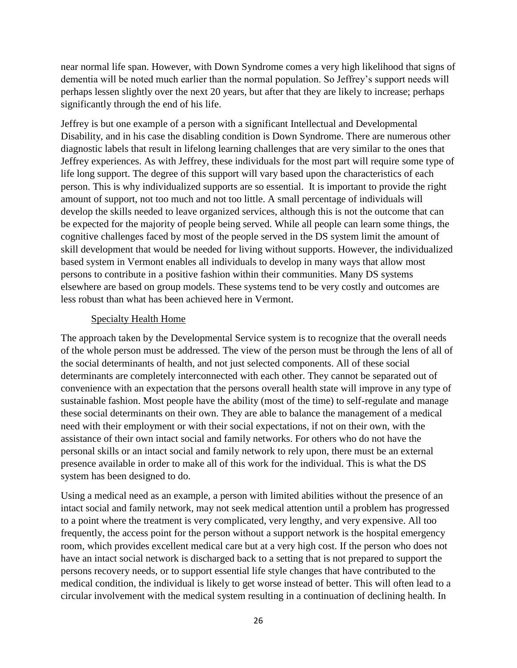near normal life span. However, with Down Syndrome comes a very high likelihood that signs of dementia will be noted much earlier than the normal population. So Jeffrey's support needs will perhaps lessen slightly over the next 20 years, but after that they are likely to increase; perhaps significantly through the end of his life.

Jeffrey is but one example of a person with a significant Intellectual and Developmental Disability, and in his case the disabling condition is Down Syndrome. There are numerous other diagnostic labels that result in lifelong learning challenges that are very similar to the ones that Jeffrey experiences. As with Jeffrey, these individuals for the most part will require some type of life long support. The degree of this support will vary based upon the characteristics of each person. This is why individualized supports are so essential. It is important to provide the right amount of support, not too much and not too little. A small percentage of individuals will develop the skills needed to leave organized services, although this is not the outcome that can be expected for the majority of people being served. While all people can learn some things, the cognitive challenges faced by most of the people served in the DS system limit the amount of skill development that would be needed for living without supports. However, the individualized based system in Vermont enables all individuals to develop in many ways that allow most persons to contribute in a positive fashion within their communities. Many DS systems elsewhere are based on group models. These systems tend to be very costly and outcomes are less robust than what has been achieved here in Vermont.

### Specialty Health Home

The approach taken by the Developmental Service system is to recognize that the overall needs of the whole person must be addressed. The view of the person must be through the lens of all of the social determinants of health, and not just selected components. All of these social determinants are completely interconnected with each other. They cannot be separated out of convenience with an expectation that the persons overall health state will improve in any type of sustainable fashion. Most people have the ability (most of the time) to self-regulate and manage these social determinants on their own. They are able to balance the management of a medical need with their employment or with their social expectations, if not on their own, with the assistance of their own intact social and family networks. For others who do not have the personal skills or an intact social and family network to rely upon, there must be an external presence available in order to make all of this work for the individual. This is what the DS system has been designed to do.

Using a medical need as an example, a person with limited abilities without the presence of an intact social and family network, may not seek medical attention until a problem has progressed to a point where the treatment is very complicated, very lengthy, and very expensive. All too frequently, the access point for the person without a support network is the hospital emergency room, which provides excellent medical care but at a very high cost. If the person who does not have an intact social network is discharged back to a setting that is not prepared to support the persons recovery needs, or to support essential life style changes that have contributed to the medical condition, the individual is likely to get worse instead of better. This will often lead to a circular involvement with the medical system resulting in a continuation of declining health. In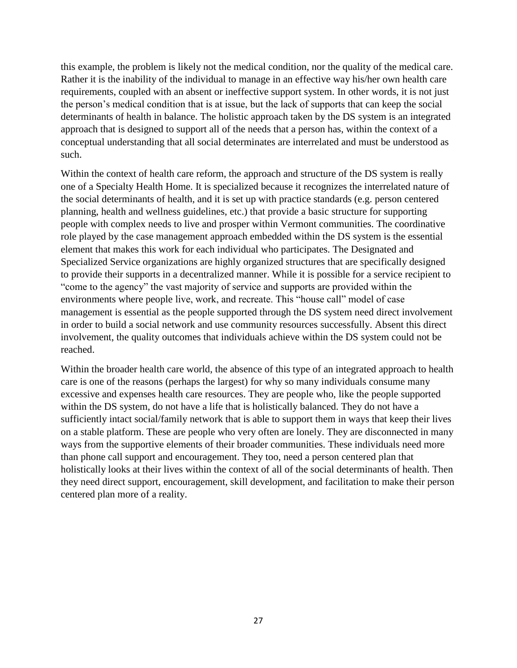this example, the problem is likely not the medical condition, nor the quality of the medical care. Rather it is the inability of the individual to manage in an effective way his/her own health care requirements, coupled with an absent or ineffective support system. In other words, it is not just the person's medical condition that is at issue, but the lack of supports that can keep the social determinants of health in balance. The holistic approach taken by the DS system is an integrated approach that is designed to support all of the needs that a person has, within the context of a conceptual understanding that all social determinates are interrelated and must be understood as such.

Within the context of health care reform, the approach and structure of the DS system is really one of a Specialty Health Home. It is specialized because it recognizes the interrelated nature of the social determinants of health, and it is set up with practice standards (e.g. person centered planning, health and wellness guidelines, etc.) that provide a basic structure for supporting people with complex needs to live and prosper within Vermont communities. The coordinative role played by the case management approach embedded within the DS system is the essential element that makes this work for each individual who participates. The Designated and Specialized Service organizations are highly organized structures that are specifically designed to provide their supports in a decentralized manner. While it is possible for a service recipient to "come to the agency" the vast majority of service and supports are provided within the environments where people live, work, and recreate. This "house call" model of case management is essential as the people supported through the DS system need direct involvement in order to build a social network and use community resources successfully. Absent this direct involvement, the quality outcomes that individuals achieve within the DS system could not be reached.

Within the broader health care world, the absence of this type of an integrated approach to health care is one of the reasons (perhaps the largest) for why so many individuals consume many excessive and expenses health care resources. They are people who, like the people supported within the DS system, do not have a life that is holistically balanced. They do not have a sufficiently intact social/family network that is able to support them in ways that keep their lives on a stable platform. These are people who very often are lonely. They are disconnected in many ways from the supportive elements of their broader communities. These individuals need more than phone call support and encouragement. They too, need a person centered plan that holistically looks at their lives within the context of all of the social determinants of health. Then they need direct support, encouragement, skill development, and facilitation to make their person centered plan more of a reality.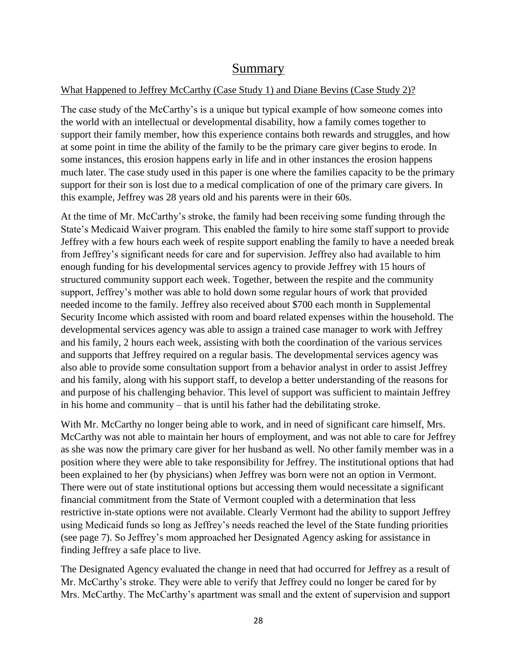# Summary

# What Happened to Jeffrey McCarthy (Case Study 1) and Diane Bevins (Case Study 2)?

The case study of the McCarthy's is a unique but typical example of how someone comes into the world with an intellectual or developmental disability, how a family comes together to support their family member, how this experience contains both rewards and struggles, and how at some point in time the ability of the family to be the primary care giver begins to erode. In some instances, this erosion happens early in life and in other instances the erosion happens much later. The case study used in this paper is one where the families capacity to be the primary support for their son is lost due to a medical complication of one of the primary care givers. In this example, Jeffrey was 28 years old and his parents were in their 60s.

At the time of Mr. McCarthy's stroke, the family had been receiving some funding through the State's Medicaid Waiver program. This enabled the family to hire some staff support to provide Jeffrey with a few hours each week of respite support enabling the family to have a needed break from Jeffrey's significant needs for care and for supervision. Jeffrey also had available to him enough funding for his developmental services agency to provide Jeffrey with 15 hours of structured community support each week. Together, between the respite and the community support, Jeffrey's mother was able to hold down some regular hours of work that provided needed income to the family. Jeffrey also received about \$700 each month in Supplemental Security Income which assisted with room and board related expenses within the household. The developmental services agency was able to assign a trained case manager to work with Jeffrey and his family, 2 hours each week, assisting with both the coordination of the various services and supports that Jeffrey required on a regular basis. The developmental services agency was also able to provide some consultation support from a behavior analyst in order to assist Jeffrey and his family, along with his support staff, to develop a better understanding of the reasons for and purpose of his challenging behavior. This level of support was sufficient to maintain Jeffrey in his home and community – that is until his father had the debilitating stroke.

With Mr. McCarthy no longer being able to work, and in need of significant care himself, Mrs. McCarthy was not able to maintain her hours of employment, and was not able to care for Jeffrey as she was now the primary care giver for her husband as well. No other family member was in a position where they were able to take responsibility for Jeffrey. The institutional options that had been explained to her (by physicians) when Jeffrey was born were not an option in Vermont. There were out of state institutional options but accessing them would necessitate a significant financial commitment from the State of Vermont coupled with a determination that less restrictive in-state options were not available. Clearly Vermont had the ability to support Jeffrey using Medicaid funds so long as Jeffrey's needs reached the level of the State funding priorities (see page 7). So Jeffrey's mom approached her Designated Agency asking for assistance in finding Jeffrey a safe place to live.

The Designated Agency evaluated the change in need that had occurred for Jeffrey as a result of Mr. McCarthy's stroke. They were able to verify that Jeffrey could no longer be cared for by Mrs. McCarthy. The McCarthy's apartment was small and the extent of supervision and support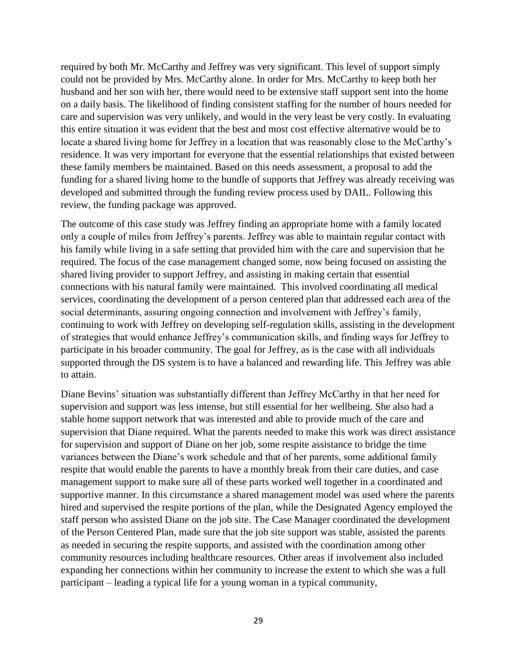required by both Mr. McCarthy and Jeffrey was very significant. This level of support simply could not be provided by Mrs. McCarthy alone. In order for Mrs. McCarthy to keep both her husband and her son with her, there would need to be extensive staff support sent into the home on a daily basis. The likelihood of finding consistent staffing for the number of hours needed for care and supervision was very unlikely, and would in the very least be very costly. In evaluating this entire situation it was evident that the best and most cost effective alternative would be to locate a shared living home for Jeffrey in a location that was reasonably close to the McCarthy's residence. It was very important for everyone that the essential relationships that existed between these family members be maintained. Based on this needs assessment, a proposal to add the funding for a shared living home to the bundle of supports that Jeffrey was already receiving was developed and submitted through the funding review process used by DAIL. Following this review, the funding package was approved.

The outcome of this case study was Jeffrey finding an appropriate home with a family located only a couple of miles from Jeffrey's parents. Jeffrey was able to maintain regular contact with his family while living in a safe setting that provided him with the care and supervision that he required. The focus of the case management changed some, now being focused on assisting the shared living provider to support Jeffrey, and assisting in making certain that essential connections with his natural family were maintained. This involved coordinating all medical services, coordinating the development of a person centered plan that addressed each area of the social determinants, assuring ongoing connection and involvement with Jeffrey's family, continuing to work with Jeffrey on developing self-regulation skills, assisting in the development of strategies that would enhance Jeffrey's communication skills, and finding ways for Jeffrey to participate in his broader community. The goal for Jeffrey, as is the case with all individuals supported through the DS system is to have a balanced and rewarding life. This Jeffrey was able to attain.

Diane Bevins' situation was substantially different than Jeffrey McCarthy in that her need for supervision and support was less intense, but still essential for her wellbeing. She also had a stable home support network that was interested and able to provide much of the care and supervision that Diane required. What the parents needed to make this work was direct assistance for supervision and support of Diane on her job, some respite assistance to bridge the time variances between the Diane's work schedule and that of her parents, some additional family respite that would enable the parents to have a monthly break from their care duties, and case management support to make sure all of these parts worked well together in a coordinated and supportive manner. In this circumstance a shared management model was used where the parents hired and supervised the respite portions of the plan, while the Designated Agency employed the staff person who assisted Diane on the job site. The Case Manager coordinated the development of the Person Centered Plan, made sure that the job site support was stable, assisted the parents as needed in securing the respite supports, and assisted with the coordination among other community resources including healthcare resources. Other areas if involvement also included expanding her connections within her community to increase the extent to which she was a full participant – leading a typical life for a young woman in a typical community,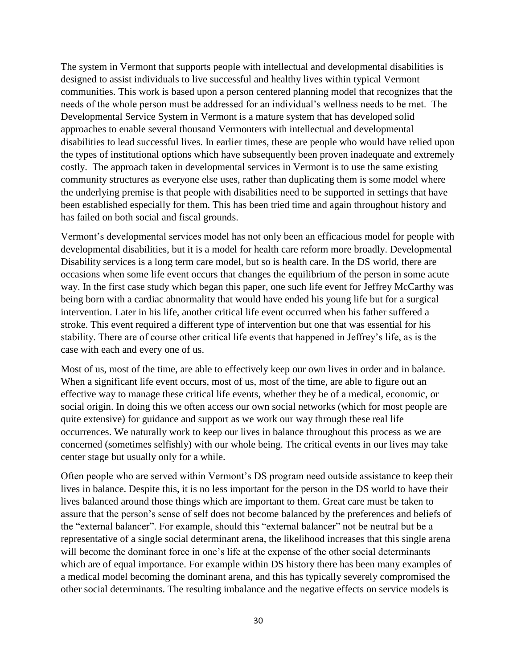The system in Vermont that supports people with intellectual and developmental disabilities is designed to assist individuals to live successful and healthy lives within typical Vermont communities. This work is based upon a person centered planning model that recognizes that the needs of the whole person must be addressed for an individual's wellness needs to be met. The Developmental Service System in Vermont is a mature system that has developed solid approaches to enable several thousand Vermonters with intellectual and developmental disabilities to lead successful lives. In earlier times, these are people who would have relied upon the types of institutional options which have subsequently been proven inadequate and extremely costly. The approach taken in developmental services in Vermont is to use the same existing community structures as everyone else uses, rather than duplicating them is some model where the underlying premise is that people with disabilities need to be supported in settings that have been established especially for them. This has been tried time and again throughout history and has failed on both social and fiscal grounds.

Vermont's developmental services model has not only been an efficacious model for people with developmental disabilities, but it is a model for health care reform more broadly. Developmental Disability services is a long term care model, but so is health care. In the DS world, there are occasions when some life event occurs that changes the equilibrium of the person in some acute way. In the first case study which began this paper, one such life event for Jeffrey McCarthy was being born with a cardiac abnormality that would have ended his young life but for a surgical intervention. Later in his life, another critical life event occurred when his father suffered a stroke. This event required a different type of intervention but one that was essential for his stability. There are of course other critical life events that happened in Jeffrey's life, as is the case with each and every one of us.

Most of us, most of the time, are able to effectively keep our own lives in order and in balance. When a significant life event occurs, most of us, most of the time, are able to figure out an effective way to manage these critical life events, whether they be of a medical, economic, or social origin. In doing this we often access our own social networks (which for most people are quite extensive) for guidance and support as we work our way through these real life occurrences. We naturally work to keep our lives in balance throughout this process as we are concerned (sometimes selfishly) with our whole being. The critical events in our lives may take center stage but usually only for a while.

Often people who are served within Vermont's DS program need outside assistance to keep their lives in balance. Despite this, it is no less important for the person in the DS world to have their lives balanced around those things which are important to them. Great care must be taken to assure that the person's sense of self does not become balanced by the preferences and beliefs of the "external balancer". For example, should this "external balancer" not be neutral but be a representative of a single social determinant arena, the likelihood increases that this single arena will become the dominant force in one's life at the expense of the other social determinants which are of equal importance. For example within DS history there has been many examples of a medical model becoming the dominant arena, and this has typically severely compromised the other social determinants. The resulting imbalance and the negative effects on service models is